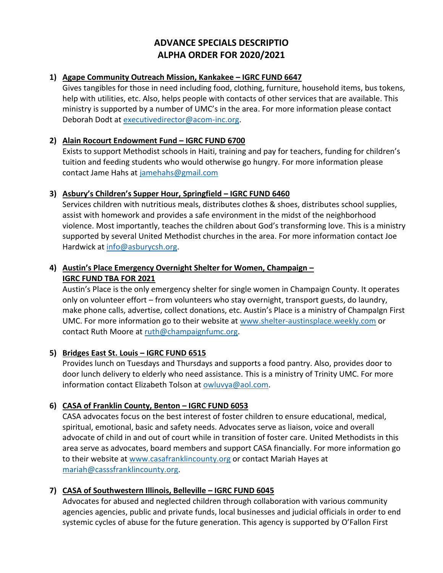# **ADVANCE SPECIALS DESCRIPTIO ALPHA ORDER FOR 2020/2021**

### **1) Agape Community Outreach Mission, Kankakee – IGRC FUND 6647**

Gives tangibles for those in need including food, clothing, furniture, household items, bus tokens, help with utilities, etc. Also, helps people with contacts of other services that are available. This ministry is supported by a number of UMC's in the area. For more information please contact Deborah Dodt at [executivedirector@acom-inc.org.](mailto:executivedirector@acom-inc.org)

#### **2) Alain Rocourt Endowment Fund – IGRC FUND 6700**

Exists to support Methodist schools in Haiti, training and pay for teachers, funding for children's tuition and feeding students who would otherwise go hungry. For more information please contact Jame Hahs at [jamehahs@gmail.com](mailto:jamehahs@gmail.com)

#### **3) Asbury's Children's Supper Hour, Springfield – IGRC FUND 6460**

Services children with nutritious meals, distributes clothes & shoes, distributes school supplies, assist with homework and provides a safe environment in the midst of the neighborhood violence. Most importantly, teaches the children about God's transforming love. This is a ministry supported by several United Methodist churches in the area. For more information contact Joe Hardwick at [info@asburycsh.org.](mailto:info@asburycsh.org)

### **4) Austin's Place Emergency Overnight Shelter for Women, Champaign – IGRC FUND TBA FOR 2021**

Austin's Place is the only emergency shelter for single women in Champaign County. It operates only on volunteer effort – from volunteers who stay overnight, transport guests, do laundry, make phone calls, advertise, collect donations, etc. Austin's Place is a ministry of ChampaIgn First UMC. For more information go to their website at [www.shelter-austinsplace.weekly.com](http://www.shelter-austinsplace.weekly.com/) or contact Ruth Moore at [ruth@champaignfumc.org.](mailto:ruth@champaignfumc.org)

### **5) Bridges East St. Louis – IGRC FUND 6515**

Provides lunch on Tuesdays and Thursdays and supports a food pantry. Also, provides door to door lunch delivery to elderly who need assistance. This is a ministry of Trinity UMC. For more information contact Elizabeth Tolson at [owluvya@aol.com.](mailto:owluvya@aol.com)

### **6) CASA of Franklin County, Benton – IGRC FUND 6053**

CASA advocates focus on the best interest of foster children to ensure educational, medical, spiritual, emotional, basic and safety needs. Advocates serve as liaison, voice and overall advocate of child in and out of court while in transition of foster care. United Methodists in this area serve as advocates, board members and support CASA financially. For more information go to their website at [www.casafranklincounty.org](http://www.casafranklincounty.org/) or contact Mariah Hayes at [mariah@casssfranklincounty.org.](mailto:mariah@casssfranklincounty.org)

### **7) CASA of Southwestern Illinois, Belleville – IGRC FUND 6045**

Advocates for abused and neglected children through collaboration with various community agencies agencies, public and private funds, local businesses and judicial officials in order to end systemic cycles of abuse for the future generation. This agency is supported by O'Fallon First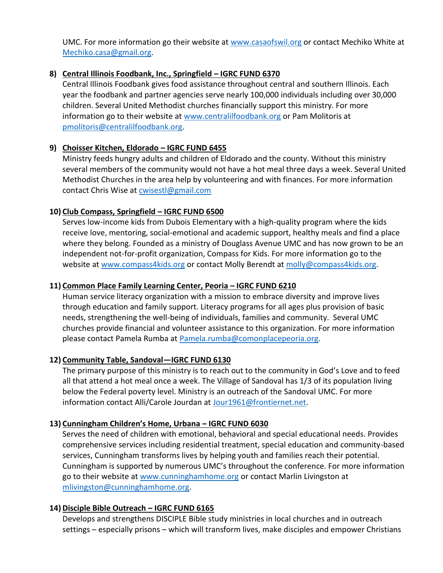UMC. For more information go their website at [www.casaofswil.org](http://www.casaofswil.org/) or contact Mechiko White at [Mechiko.casa@gmail.org.](mailto:Mechiko.casa@gmail.org)

### **8) Central Illinois Foodbank, Inc., Springfield – IGRC FUND 6370**

Central Illinois Foodbank gives food assistance throughout central and southern Illinois. Each year the foodbank and partner agencies serve nearly 100,000 individuals including over 30,000 children. Several United Methodist churches financially support this ministry. For more information go to their website at [www.centralilfoodbank.org](http://www.centralilfoodbank.org/) or Pam Molitoris at [pmolitoris@centralilfoodbank.org.](mailto:pmolitoris@centralilfoodbank.org)

### **9) Choisser Kitchen, Eldorado – IGRC FUND 6455**

Ministry feeds hungry adults and children of Eldorado and the county. Without this ministry several members of the community would not have a hot meal three days a week. Several United Methodist Churches in the area help by volunteering and with finances. For more information contact Chris Wise at [cwisestl@gmail.com](mailto:cwisestl@gmail.com)

# **10) Club Compass, Springfield – IGRC FUND 6500**

Serves low-income kids from Dubois Elementary with a high-quality program where the kids receive love, mentoring, social-emotional and academic support, healthy meals and find a place where they belong. Founded as a ministry of Douglass Avenue UMC and has now grown to be an independent not-for-profit organization, Compass for Kids. For more information go to the website at [www.compass4kids.org](http://www.compass4kids.org/) or contact Molly Berendt at [molly@compass4kids.org.](mailto:molly@compass4kids.org)

# **11) Common Place Family Learning Center, Peoria – IGRC FUND 6210**

Human service literacy organization with a mission to embrace diversity and improve lives through education and family support. Literacy programs for all ages plus provision of basic needs, strengthening the well-being of individuals, families and community. Several UMC churches provide financial and volunteer assistance to this organization. For more information please contact Pamela Rumba at [Pamela.rumba@comonplacepeoria.org.](mailto:Pamela.rumba@comonplacepeoria.org)

# **12) Community Table, Sandoval—IGRC FUND 6130**

The primary purpose of this ministry is to reach out to the community in God's Love and to feed all that attend a hot meal once a week. The Village of Sandoval has 1/3 of its population living below the Federal poverty level. Ministry is an outreach of the Sandoval UMC. For more information contact Alli/Carole Jourdan at [Jour1961@frontiernet.net.](mailto:Jour1961@frontiernet.net)

### **13) Cunningham Children's Home, Urbana – IGRC FUND 6030**

Serves the need of children with emotional, behavioral and special educational needs. Provides comprehensive services including residential treatment, special education and community-based services, Cunningham transforms lives by helping youth and families reach their potential. Cunningham is supported by numerous UMC's throughout the conference. For more information go to their website at [www.cunninghamhome.org](http://www.cunninghamhome.org/) or contact Marlin Livingston at [mlivingston@cunninghamhome.org.](mailto:mlivingston@cunninghamhome.org)

### **14) Disciple Bible Outreach – IGRC FUND 6165**

Develops and strengthens DISCIPLE Bible study ministries in local churches and in outreach settings – especially prisons – which will transform lives, make disciples and empower Christians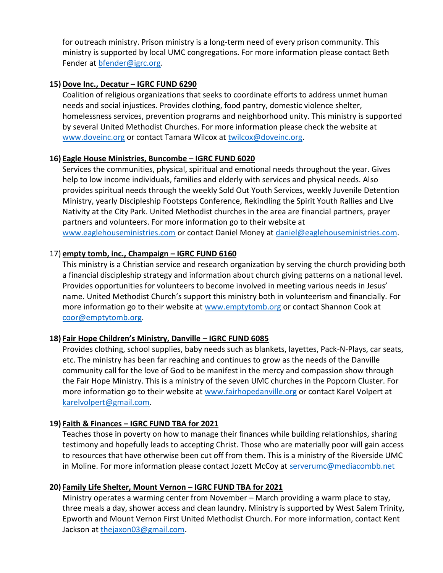for outreach ministry. Prison ministry is a long-term need of every prison community. This ministry is supported by local UMC congregations. For more information please contact Beth Fender at [bfender@igrc.org.](mailto:bfender@igrc.org)

#### **15) Dove Inc., Decatur – IGRC FUND 6290**

Coalition of religious organizations that seeks to coordinate efforts to address unmet human needs and social injustices. Provides clothing, food pantry, domestic violence shelter, homelessness services, prevention programs and neighborhood unity. This ministry is supported by several United Methodist Churches. For more information please check the website at [www.doveinc.org](http://www.doveinc.org/) or contact Tamara Wilcox at [twilcox@doveinc.org.](mailto:twilcox@doveinc.org)

#### **16) Eagle House Ministries, Buncombe – IGRC FUND 6020**

Services the communities, physical, spiritual and emotional needs throughout the year. Gives help to low income individuals, families and elderly with services and physical needs. Also provides spiritual needs through the weekly Sold Out Youth Services, weekly Juvenile Detention Ministry, yearly Discipleship Footsteps Conference, Rekindling the Spirit Youth Rallies and Live Nativity at the City Park. United Methodist churches in the area are financial partners, prayer partners and volunteers. For more information go to their website at [www.eaglehouseministries.com](http://www.eaglehouseministries.com/) or contact Daniel Money at [daniel@eaglehouseministries.com.](mailto:daniel@eaglehouseministries.com)

### 17) **empty tomb, inc., Champaign – IGRC FUND 6160**

This ministry is a Christian service and research organization by serving the church providing both a financial discipleship strategy and information about church giving patterns on a national level. Provides opportunities for volunteers to become involved in meeting various needs in Jesus' name. United Methodist Church's support this ministry both in volunteerism and financially. For more information go to their website at [www.emptytomb.org](http://www.emptytomb.org/) or contact Shannon Cook at [coor@emptytomb.org.](mailto:coor@emptytomb.org)

### **18) Fair Hope Children's Ministry, Danville – IGRC FUND 6085**

Provides clothing, school supplies, baby needs such as blankets, layettes, Pack-N-Plays, car seats, etc. The ministry has been far reaching and continues to grow as the needs of the Danville community call for the love of God to be manifest in the mercy and compassion show through the Fair Hope Ministry. This is a ministry of the seven UMC churches in the Popcorn Cluster. For more information go to their website at [www.fairhopedanville.org](http://www.fairhopedanville.org/) or contact Karel Volpert at [karelvolpert@gmail.com.](mailto:karelvolpert@gmail.com)

### **19) Faith & Finances – IGRC FUND TBA for 2021**

Teaches those in poverty on how to manage their finances while building relationships, sharing testimony and hopefully leads to accepting Christ. Those who are materially poor will gain access to resources that have otherwise been cut off from them. This is a ministry of the Riverside UMC in Moline. For more information please contact Jozett McCoy at [serverumc@mediacombb.net](mailto:serverumc@mediacombb.net)

#### **20) Family Life Shelter, Mount Vernon – IGRC FUND TBA for 2021**

Ministry operates a warming center from November – March providing a warm place to stay, three meals a day, shower access and clean laundry. Ministry is supported by West Salem Trinity, Epworth and Mount Vernon First United Methodist Church. For more information, contact Kent Jackson at [thejaxon03@gmail.com.](mailto:thejaxon03@gmail.com)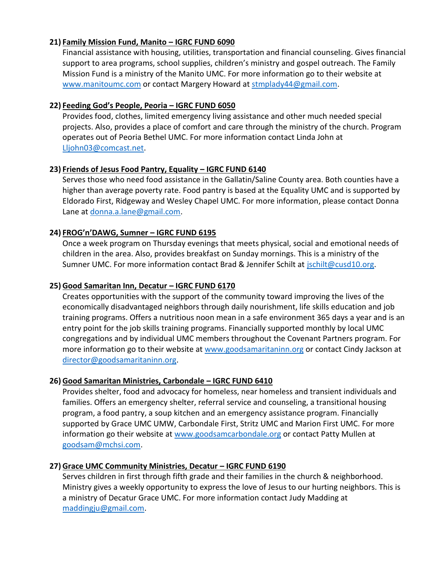### **21) Family Mission Fund, Manito – IGRC FUND 6090**

Financial assistance with housing, utilities, transportation and financial counseling. Gives financial support to area programs, school supplies, children's ministry and gospel outreach. The Family Mission Fund is a ministry of the Manito UMC. For more information go to their website at [www.manitoumc.com](http://www.manitoumc.com/) or contact Margery Howard at [stmplady44@gmail.com.](mailto:stmplady44@gmail.com)

### **22) Feeding God's People, Peoria – IGRC FUND 6050**

Provides food, clothes, limited emergency living assistance and other much needed special projects. Also, provides a place of comfort and care through the ministry of the church. Program operates out of Peoria Bethel UMC. For more information contact Linda John at [Lljohn03@comcast.net.](mailto:Lljohn03@comcast.net)

### **23) Friends of Jesus Food Pantry, Equality – IGRC FUND 6140**

Serves those who need food assistance in the Gallatin/Saline County area. Both counties have a higher than average poverty rate. Food pantry is based at the Equality UMC and is supported by Eldorado First, Ridgeway and Wesley Chapel UMC. For more information, please contact Donna Lane at [donna.a.lane@gmail.com.](mailto:donna.a.lane@gmail.com)

### **24) FROG'n'DAWG, Sumner – IGRC FUND 6195**

Once a week program on Thursday evenings that meets physical, social and emotional needs of children in the area. Also, provides breakfast on Sunday mornings. This is a ministry of the Sumner UMC. For more information contact Brad & Jennifer Schilt at [jschilt@cusd10.org.](mailto:jschilt@cusd10.org)

#### **25) Good Samaritan Inn, Decatur – IGRC FUND 6170**

Creates opportunities with the support of the community toward improving the lives of the economically disadvantaged neighbors through daily nourishment, life skills education and job training programs. Offers a nutritious noon mean in a safe environment 365 days a year and is an entry point for the job skills training programs. Financially supported monthly by local UMC congregations and by individual UMC members throughout the Covenant Partners program. For more information go to their website at [www.goodsamaritaninn.org](http://www.goodsamaritaninn.org/) or contact Cindy Jackson at [director@goodsamaritaninn.org.](mailto:director@goodsamaritaninn.org)

#### **26) Good Samaritan Ministries, Carbondale – IGRC FUND 6410**

Provides shelter, food and advocacy for homeless, near homeless and transient individuals and families. Offers an emergency shelter, referral service and counseling, a transitional housing program, a food pantry, a soup kitchen and an emergency assistance program. Financially supported by Grace UMC UMW, Carbondale First, Stritz UMC and Marion First UMC. For more information go their website at [www.goodsamcarbondale.org](http://www.goodsamcarbondale.org/) or contact Patty Mullen at [goodsam@mchsi.com.](mailto:goodsam@mchsi.com)

#### **27) Grace UMC Community Ministries, Decatur – IGRC FUND 6190**

Serves children in first through fifth grade and their families in the church & neighborhood. Ministry gives a weekly opportunity to express the love of Jesus to our hurting neighbors. This is a ministry of Decatur Grace UMC. For more information contact Judy Madding at [maddingju@gmail.com.](mailto:maddingju@gmail.com)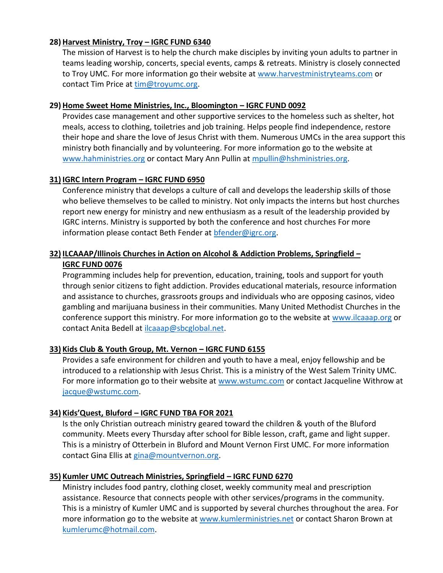#### **28) Harvest Ministry, Troy – IGRC FUND 6340**

The mission of Harvest is to help the church make disciples by inviting youn adults to partner in teams leading worship, concerts, special events, camps & retreats. Ministry is closely connected to Troy UMC. For more information go their website at [www.harvestministryteams.com](http://www.harvestministryteams.com/) or contact Tim Price at [tim@troyumc.org.](mailto:tim@troyumc.org)

#### **29) Home Sweet Home Ministries, Inc., Bloomington – IGRC FUND 0092**

Provides case management and other supportive services to the homeless such as shelter, hot meals, access to clothing, toiletries and job training. Helps people find independence, restore their hope and share the love of Jesus Christ with them. Numerous UMCs in the area support this ministry both financially and by volunteering. For more information go to the website at [www.hahministries.org](http://www.hahministries.org/) or contact Mary Ann Pullin at [mpullin@hshministries.org.](mailto:mpullin@hshministries.org)

#### **31) IGRC Intern Program – IGRC FUND 6950**

Conference ministry that develops a culture of call and develops the leadership skills of those who believe themselves to be called to ministry. Not only impacts the interns but host churches report new energy for ministry and new enthusiasm as a result of the leadership provided by IGRC interns. Ministry is supported by both the conference and host churches For more information please contact Beth Fender at [bfender@igrc.org.](mailto:bfender@igrc.org)

# **32) ILCAAAP/Illinois Churches in Action on Alcohol & Addiction Problems, Springfield – IGRC FUND 0076**

Programming includes help for prevention, education, training, tools and support for youth through senior citizens to fight addiction. Provides educational materials, resource information and assistance to churches, grassroots groups and individuals who are opposing casinos, video gambling and marijuana business in their communities. Many United Methodist Churches in the conference support this ministry. For more information go to the website at [www.ilcaaap.org](http://www.ilcaaap.org/) or contact Anita Bedell at [ilcaaap@sbcglobal.net.](mailto:ilcaaap@sbcglobal.net)

### **33) Kids Club & Youth Group, Mt. Vernon – IGRC FUND 6155**

Provides a safe environment for children and youth to have a meal, enjoy fellowship and be introduced to a relationship with Jesus Christ. This is a ministry of the West Salem Trinity UMC. For more information go to their website at [www.wstumc.com](http://www.wstumc.com/) or contact Jacqueline Withrow at [jacque@wstumc.com.](mailto:jacque@wstumc.com)

### **34) Kids'Quest, Bluford – IGRC FUND TBA FOR 2021**

Is the only Christian outreach ministry geared toward the children & youth of the Bluford community. Meets every Thursday after school for Bible lesson, craft, game and light supper. This is a ministry of Otterbein in Bluford and Mount Vernon First UMC. For more information contact Gina Ellis at [gina@mountvernon.org.](mailto:gina@mountvernon.org)

### **35) Kumler UMC Outreach Ministries, Springfield – IGRC FUND 6270**

Ministry includes food pantry, clothing closet, weekly community meal and prescription assistance. Resource that connects people with other services/programs in the community. This is a ministry of Kumler UMC and is supported by several churches throughout the area. For more information go to the website at [www.kumlerministries.net](http://www.kumlerministries.net/) or contact Sharon Brown at [kumlerumc@hotmail.com.](mailto:kumlerumc@hotmail.com)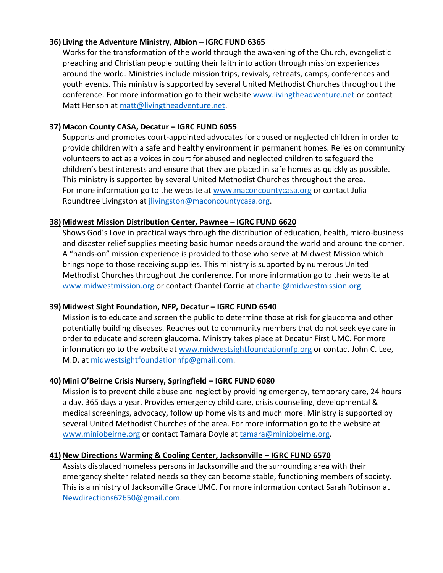### **36) Living the Adventure Ministry, Albion – IGRC FUND 6365**

Works for the transformation of the world through the awakening of the Church, evangelistic preaching and Christian people putting their faith into action through mission experiences around the world. Ministries include mission trips, revivals, retreats, camps, conferences and youth events. This ministry is supported by several United Methodist Churches throughout the conference. For more information go to their website [www.livingtheadventure.net](http://www.livingtheadventure.net/) or contact Matt Henson at [matt@livingtheadventure.net.](mailto:matt@livingtheadventure.net)

# **37) Macon County CASA, Decatur – IGRC FUND 6055**

Supports and promotes court-appointed advocates for abused or neglected children in order to provide children with a safe and healthy environment in permanent homes. Relies on community volunteers to act as a voices in court for abused and neglected children to safeguard the children's best interests and ensure that they are placed in safe homes as quickly as possible. This ministry is supported by several United Methodist Churches throughout the area. For more information go to the website at [www.maconcountycasa.org](http://www.maconcountycasa.org/) or contact Julia Roundtree Livingston at [jlivingston@maconcountycasa.org.](mailto:jlivingston@maconcountycasa.org)

#### **38) Midwest Mission Distribution Center, Pawnee – IGRC FUND 6620**

Shows God's Love in practical ways through the distribution of education, health, micro-business and disaster relief supplies meeting basic human needs around the world and around the corner. A "hands-on" mission experience is provided to those who serve at Midwest Mission which brings hope to those receiving supplies. This ministry is supported by numerous United Methodist Churches throughout the conference. For more information go to their website at [www.midwestmission.org](http://www.midwestmission.org/) or contact Chantel Corrie at [chantel@midwestmission.org.](mailto:chantel@midwestmission.org)

#### **39) Midwest Sight Foundation, NFP, Decatur – IGRC FUND 6540**

Mission is to educate and screen the public to determine those at risk for glaucoma and other potentially building diseases. Reaches out to community members that do not seek eye care in order to educate and screen glaucoma. Ministry takes place at Decatur First UMC. For more information go to the website at [www.midwestsightfoundationnfp.org](http://www.midwestsightfoundationnfp.org/) or contact John C. Lee, M.D. at [midwestsightfoundationnfp@gmail.com.](mailto:midwestsightfoundationnfp@gmail.com)

### **40) Mini O'Beirne Crisis Nursery, Springfield – IGRC FUND 6080**

Mission is to prevent child abuse and neglect by providing emergency, temporary care, 24 hours a day, 365 days a year. Provides emergency child care, crisis counseling, developmental & medical screenings, advocacy, follow up home visits and much more. Ministry is supported by several United Methodist Churches of the area. For more information go to the website at [www.miniobeirne.org](http://www.miniobeirne.org/) or contact Tamara Doyle at [tamara@miniobeirne.org.](mailto:tamara@miniobeirne.org)

### **41) New Directions Warming & Cooling Center, Jacksonville – IGRC FUND 6570**

Assists displaced homeless persons in Jacksonville and the surrounding area with their emergency shelter related needs so they can become stable, functioning members of society. This is a ministry of Jacksonville Grace UMC. For more information contact Sarah Robinson at [Newdirections62650@gmail.com.](mailto:Newdirections62650@gmail.com)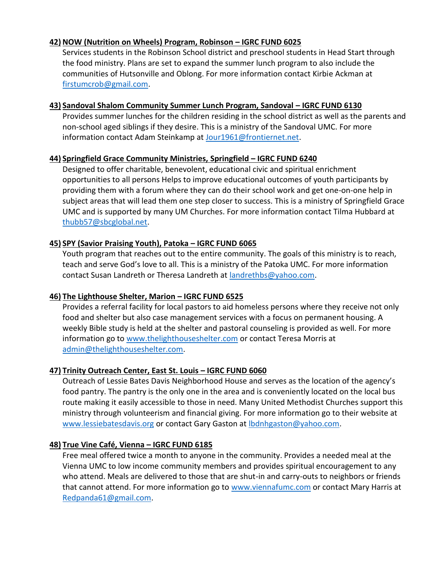### **42) NOW (Nutrition on Wheels) Program, Robinson – IGRC FUND 6025**

Services students in the Robinson School district and preschool students in Head Start through the food ministry. Plans are set to expand the summer lunch program to also include the communities of Hutsonville and Oblong. For more information contact Kirbie Ackman at [firstumcrob@gmail.com.](mailto:firstumcrob@gmail.com)

#### **43) Sandoval Shalom Community Summer Lunch Program, Sandoval – IGRC FUND 6130**

Provides summer lunches for the children residing in the school district as well as the parents and non-school aged siblings if they desire. This is a ministry of the Sandoval UMC. For more information contact Adam Steinkamp at [Jour1961@frontiernet.net.](mailto:Jour1961@frontiernet.net)

#### **44) Springfield Grace Community Ministries, Springfield – IGRC FUND 6240**

Designed to offer charitable, benevolent, educational civic and spiritual enrichment opportunities to all persons Helps to improve educational outcomes of youth participants by providing them with a forum where they can do their school work and get one-on-one help in subject areas that will lead them one step closer to success. This is a ministry of Springfield Grace UMC and is supported by many UM Churches. For more information contact Tilma Hubbard at [thubb57@sbcglobal.net.](mailto:thubb57@sbcglobal.net)

#### **45) SPY (Savior Praising Youth), Patoka – IGRC FUND 6065**

Youth program that reaches out to the entire community. The goals of this ministry is to reach, teach and serve God's love to all. This is a ministry of the Patoka UMC. For more information contact Susan Landreth or Theresa Landreth at [landrethbs@yahoo.com.](mailto:landrethbs@yahoo.com)

### **46) The Lighthouse Shelter, Marion – IGRC FUND 6525**

Provides a referral facility for local pastors to aid homeless persons where they receive not only food and shelter but also case management services with a focus on permanent housing. A weekly Bible study is held at the shelter and pastoral counseling is provided as well. For more information go to [www.thelighthouseshelter.com](http://www.thelighthouseshelter.com/) or contact Teresa Morris at [admin@thelighthouseshelter.com.](mailto:admin@thelighthouseshelter.com)

### **47) Trinity Outreach Center, East St. Louis – IGRC FUND 6060**

Outreach of Lessie Bates Davis Neighborhood House and serves as the location of the agency's food pantry. The pantry is the only one in the area and is conveniently located on the local bus route making it easily accessible to those in need. Many United Methodist Churches support this ministry through volunteerism and financial giving. For more information go to their website at [www.lessiebatesdavis.org](http://www.lessiebatesdavis.org/) or contact Gary Gaston at [lbdnhgaston@yahoo.com.](mailto:lbdnhgaston@yahoo.com)

### **48) True Vine Café, Vienna – IGRC FUND 6185**

Free meal offered twice a month to anyone in the community. Provides a needed meal at the Vienna UMC to low income community members and provides spiritual encouragement to any who attend. Meals are delivered to those that are shut-in and carry-outs to neighbors or friends that cannot attend. For more information go to [www.viennafumc.com](http://www.viennafumc.com/) or contact Mary Harris at [Redpanda61@gmail.com.](mailto:Redpanda61@gmail.com)